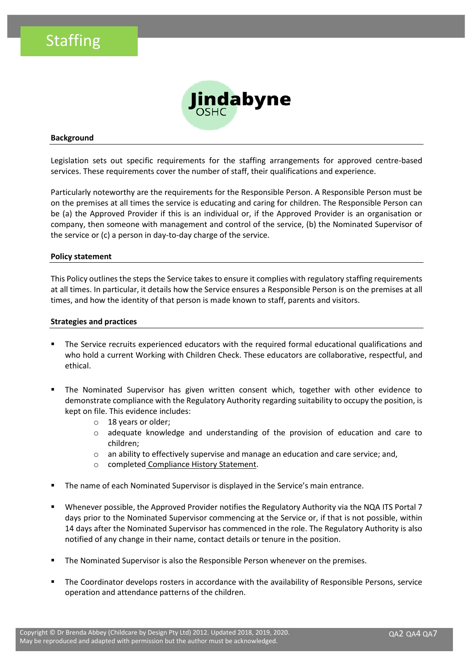

#### **Background**

Legislation sets out specific requirements for the staffing arrangements for approved centre-based services. These requirements cover the number of staff, their qualifications and experience.

Particularly noteworthy are the requirements for the Responsible Person. A Responsible Person must be on the premises at all times the service is educating and caring for children. The Responsible Person can be (a) the Approved Provider if this is an individual or, if the Approved Provider is an organisation or company, then someone with management and control of the service, (b) the Nominated Supervisor of the service or (c) a person in day-to-day charge of the service.

#### **Policy statement**

This Policy outlines the steps the Service takes to ensure it complies with regulatory staffing requirements at all times. In particular, it details how the Service ensures a Responsible Person is on the premises at all times, and how the identity of that person is made known to staff, parents and visitors.

#### **Strategies and practices**

- The Service recruits experienced educators with the required formal educational qualifications and who hold a current Working with Children Check. These educators are collaborative, respectful, and ethical.
- The Nominated Supervisor has given written consent which, together with other evidence to demonstrate compliance with the Regulatory Authority regarding suitability to occupy the position, is kept on file. This evidence includes:
	- o 18 years or older;
	- $\circ$  adequate knowledge and understanding of the provision of education and care to children;
	- $\circ$  an ability to effectively supervise and manage an education and care service; and,
	- o completed Compliance History Statement.
- The name of each Nominated Supervisor is displayed in the Service's main entrance.
- Whenever possible, the Approved Provider notifies the Regulatory Authority via the NQA ITS Portal 7 days prior to the Nominated Supervisor commencing at the Service or, if that is not possible, within 14 days after the Nominated Supervisor has commenced in the role. The Regulatory Authority is also notified of any change in their name, contact details or tenure in the position.
- The Nominated Supervisor is also the Responsible Person whenever on the premises.
- The Coordinator develops rosters in accordance with the availability of Responsible Persons, service operation and attendance patterns of the children.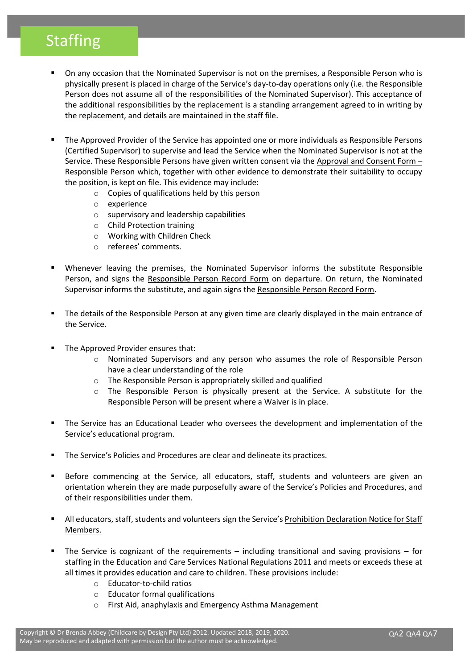- On any occasion that the Nominated Supervisor is not on the premises, a Responsible Person who is physically present is placed in charge of the Service's day-to-day operations only (i.e. the Responsible Person does not assume all of the responsibilities of the Nominated Supervisor). This acceptance of the additional responsibilities by the replacement is a standing arrangement agreed to in writing by the replacement, and details are maintained in the staff file.
- The Approved Provider of the Service has appointed one or more individuals as Responsible Persons (Certified Supervisor) to supervise and lead the Service when the Nominated Supervisor is not at the Service. These Responsible Persons have given written consent via the Approval and Consent Form – Responsible Person which, together with other evidence to demonstrate their suitability to occupy the position, is kept on file. This evidence may include:
	- o Copies of qualifications held by this person
	- o experience
	- o supervisory and leadership capabilities
	- o Child Protection training
	- o Working with Children Check
	- o referees' comments.
- Whenever leaving the premises, the Nominated Supervisor informs the substitute Responsible Person, and signs the Responsible Person Record Form on departure. On return, the Nominated Supervisor informs the substitute, and again signs the Responsible Person Record Form.
- The details of the Responsible Person at any given time are clearly displayed in the main entrance of the Service.
- The Approved Provider ensures that:
	- o Nominated Supervisors and any person who assumes the role of Responsible Person have a clear understanding of the role
	- o The Responsible Person is appropriately skilled and qualified
	- o The Responsible Person is physically present at the Service. A substitute for the Responsible Person will be present where a Waiver is in place.
- The Service has an Educational Leader who oversees the development and implementation of the Service's educational program.
- The Service's Policies and Procedures are clear and delineate its practices.
- Before commencing at the Service, all educators, staff, students and volunteers are given an orientation wherein they are made purposefully aware of the Service's Policies and Procedures, and of their responsibilities under them.
- All educators, staff, students and volunteers sign the Service's Prohibition Declaration Notice for Staff Members.
- The Service is cognizant of the requirements including transitional and saving provisions for staffing in the Education and Care Services National Regulations 2011 and meets or exceeds these at all times it provides education and care to children. These provisions include:
	- o Educator-to-child ratios
	- o Educator formal qualifications
	- o First Aid, anaphylaxis and Emergency Asthma Management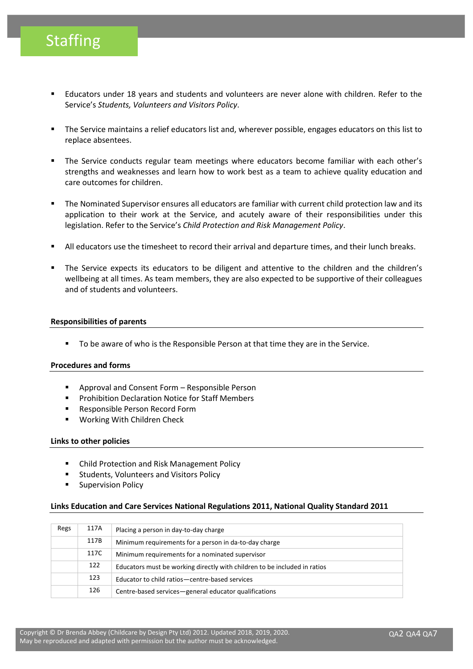- Educators under 18 years and students and volunteers are never alone with children. Refer to the Service's *Students, Volunteers and Visitors Policy*.
- The Service maintains a relief educators list and, wherever possible, engages educators on this list to replace absentees.
- The Service conducts regular team meetings where educators become familiar with each other's strengths and weaknesses and learn how to work best as a team to achieve quality education and care outcomes for children.
- The Nominated Supervisor ensures all educators are familiar with current child protection law and its application to their work at the Service, and acutely aware of their responsibilities under this legislation. Refer to the Service's *Child Protection and Risk Management Policy*.
- All educators use the timesheet to record their arrival and departure times, and their lunch breaks.
- The Service expects its educators to be diligent and attentive to the children and the children's wellbeing at all times. As team members, they are also expected to be supportive of their colleagues and of students and volunteers.

#### **Responsibilities of parents**

To be aware of who is the Responsible Person at that time they are in the Service.

#### **Procedures and forms**

- Approval and Consent Form Responsible Person
- Prohibition Declaration Notice for Staff Members
- Responsible Person Record Form
- Working With Children Check

#### **Links to other policies**

- **Child Protection and Risk Management Policy**
- Students, Volunteers and Visitors Policy
- Supervision Policy

#### **Links Education and Care Services National Regulations 2011, National Quality Standard 2011**

| Regs | 117A | Placing a person in day-to-day charge                                     |  |
|------|------|---------------------------------------------------------------------------|--|
|      | 117B | Minimum requirements for a person in da-to-day charge                     |  |
|      | 117C | Minimum requirements for a nominated supervisor                           |  |
|      | 122  | Educators must be working directly with children to be included in ratios |  |
|      | 123  | Educator to child ratios - centre-based services                          |  |
|      | 126  | Centre-based services-general educator qualifications                     |  |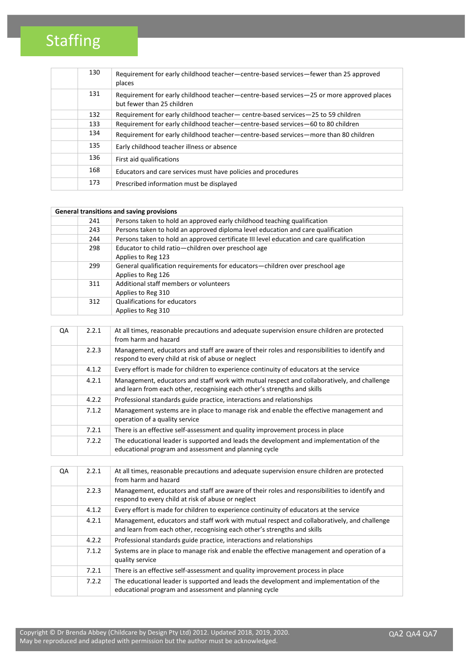| 130 | Requirement for early childhood teacher—centre-based services—fewer than 25 approved<br>places                         |
|-----|------------------------------------------------------------------------------------------------------------------------|
| 131 | Requirement for early childhood teacher-centre-based services-25 or more approved places<br>but fewer than 25 children |
| 132 | Requirement for early childhood teacher- centre-based services-25 to 59 children                                       |
| 133 | Requirement for early childhood teacher-centre-based services-60 to 80 children                                        |
| 134 | Requirement for early childhood teacher-centre-based services-more than 80 children                                    |
| 135 | Early childhood teacher illness or absence                                                                             |
| 136 | First aid qualifications                                                                                               |
| 168 | Educators and care services must have policies and procedures                                                          |
| 173 | Prescribed information must be displayed                                                                               |

| General transitions and saving provisions |     |                                                                                                    |  |
|-------------------------------------------|-----|----------------------------------------------------------------------------------------------------|--|
|                                           | 241 | Persons taken to hold an approved early childhood teaching qualification                           |  |
|                                           | 243 | Persons taken to hold an approved diploma level education and care qualification                   |  |
|                                           | 244 | Persons taken to hold an approved certificate III level education and care qualification           |  |
|                                           | 298 | Educator to child ratio-children over preschool age<br>Applies to Reg 123                          |  |
|                                           | 299 | General qualification requirements for educators—children over preschool age<br>Applies to Reg 126 |  |
|                                           | 311 | Additional staff members or volunteers<br>Applies to Reg 310                                       |  |
|                                           | 312 | <b>Qualifications for educators</b><br>Applies to Reg 310                                          |  |

| QA | 2.2.1 | At all times, reasonable precautions and adequate supervision ensure children are protected<br>from harm and hazard                                                     |
|----|-------|-------------------------------------------------------------------------------------------------------------------------------------------------------------------------|
|    | 2.2.3 | Management, educators and staff are aware of their roles and responsibilities to identify and<br>respond to every child at risk of abuse or neglect                     |
|    | 4.1.2 | Every effort is made for children to experience continuity of educators at the service                                                                                  |
|    | 4.2.1 | Management, educators and staff work with mutual respect and collaboratively, and challenge<br>and learn from each other, recognising each other's strengths and skills |
|    | 4.2.2 | Professional standards guide practice, interactions and relationships                                                                                                   |
|    | 7.1.2 | Management systems are in place to manage risk and enable the effective management and<br>operation of a quality service                                                |
|    | 7.2.1 | There is an effective self-assessment and quality improvement process in place                                                                                          |
|    | 7.2.2 | The educational leader is supported and leads the development and implementation of the<br>educational program and assessment and planning cycle                        |

| QA | 2.2.1 | At all times, reasonable precautions and adequate supervision ensure children are protected<br>from harm and hazard                                                     |
|----|-------|-------------------------------------------------------------------------------------------------------------------------------------------------------------------------|
|    | 2.2.3 | Management, educators and staff are aware of their roles and responsibilities to identify and<br>respond to every child at risk of abuse or neglect                     |
|    | 4.1.2 | Every effort is made for children to experience continuity of educators at the service                                                                                  |
|    | 4.2.1 | Management, educators and staff work with mutual respect and collaboratively, and challenge<br>and learn from each other, recognising each other's strengths and skills |
|    | 4.2.2 | Professional standards guide practice, interactions and relationships                                                                                                   |
|    | 7.1.2 | Systems are in place to manage risk and enable the effective management and operation of a<br>quality service                                                           |
|    | 7.2.1 | There is an effective self-assessment and quality improvement process in place                                                                                          |
|    | 7.2.2 | The educational leader is supported and leads the development and implementation of the<br>educational program and assessment and planning cycle                        |